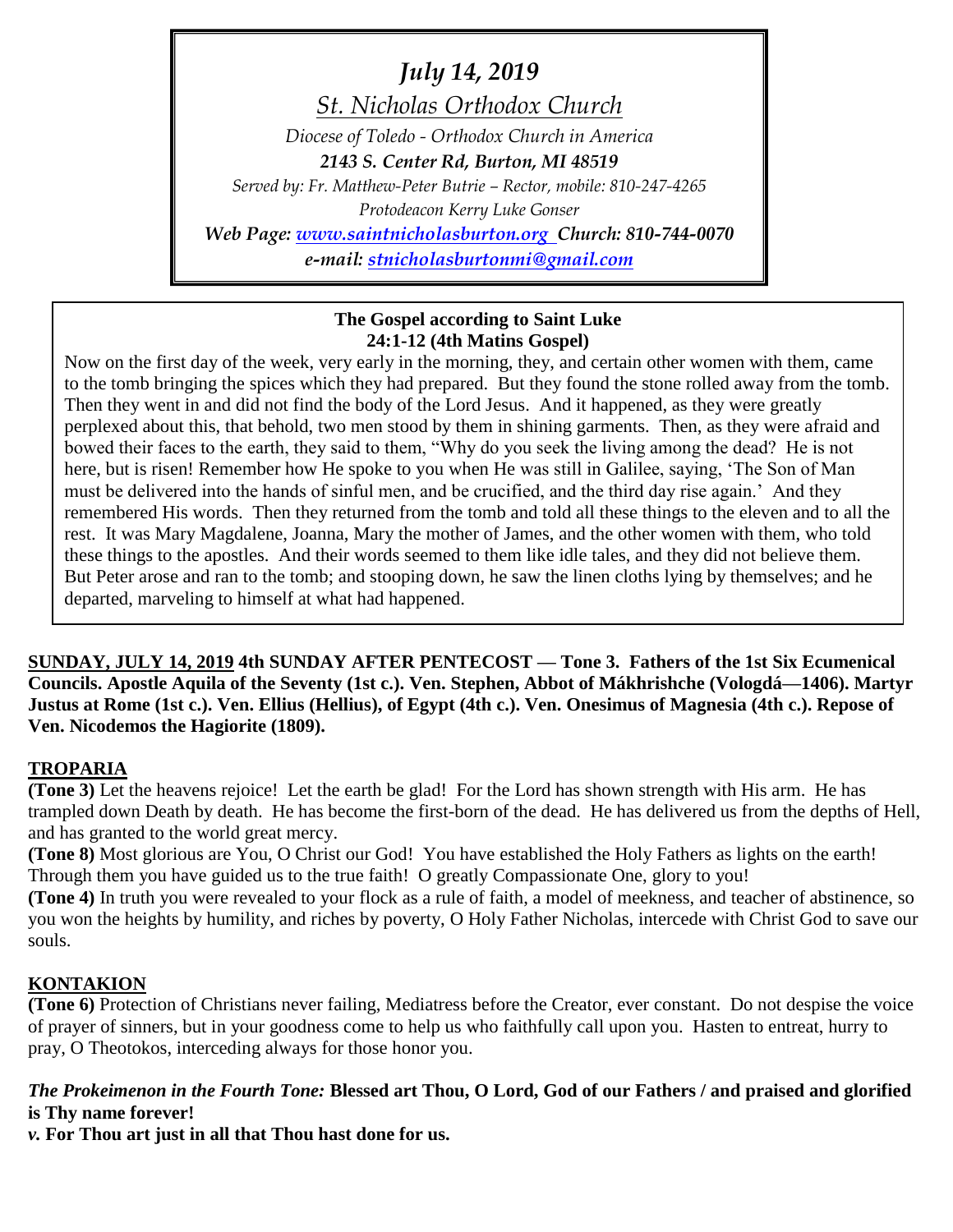*July 14, 2019*

*St. Nicholas Orthodox Church*

*Diocese of Toledo - Orthodox Church in America*

*2143 S. Center Rd, Burton, MI 48519*

*Served by: Fr. Matthew-Peter Butrie – Rector, mobile: 810-247-4265 Protodeacon Kerry Luke Gonser Web Page: [www.saintnicholasburton.org](http://www.saintnicholasburton.org/) Church: 810-744-0070*

*e-mail: [stnicholasburtonmi@gmail.com](mailto:stnicholasburtonmi@gmail.com)*

#### **The Gospel according to Saint Luke 24:1-12 (4th Matins Gospel)**

Now on the first day of the week, very early in the morning, they, and certain other women with them, came to the tomb bringing the spices which they had prepared. But they found the stone rolled away from the tomb. Then they went in and did not find the body of the Lord Jesus. And it happened, as they were greatly perplexed about this, that behold, two men stood by them in shining garments. Then, as they were afraid and bowed their faces to the earth, they said to them, "Why do you seek the living among the dead? He is not here, but is risen! Remember how He spoke to you when He was still in Galilee, saying, 'The Son of Man must be delivered into the hands of sinful men, and be crucified, and the third day rise again.' And they remembered His words. Then they returned from the tomb and told all these things to the eleven and to all the rest. It was Mary Magdalene, Joanna, Mary the mother of James, and the other women with them, who told these things to the apostles. And their words seemed to them like idle tales, and they did not believe them. But Peter arose and ran to the tomb; and stooping down, he saw the linen cloths lying by themselves; and he departed, marveling to himself at what had happened.

**SUNDAY, JULY 14, 2019 4th SUNDAY AFTER PENTECOST — Tone 3. Fathers of the 1st Six Ecumenical Councils. Apostle Aquila of the Seventy (1st c.). Ven. Stephen, Abbot of Mákhrishche (Vologdá—1406). Martyr Justus at Rome (1st c.). Ven. Ellius (Hellius), of Egypt (4th c.). Ven. Onesimus of Magnesia (4th c.). Repose of Ven. Nicodemos the Hagiorite (1809).**

## **TROPARIA**

**(Tone 3)** Let the heavens rejoice! Let the earth be glad! For the Lord has shown strength with His arm. He has trampled down Death by death. He has become the first-born of the dead. He has delivered us from the depths of Hell, and has granted to the world great mercy.

**(Tone 8)** Most glorious are You, O Christ our God! You have established the Holy Fathers as lights on the earth! Through them you have guided us to the true faith! O greatly Compassionate One, glory to you!

**(Tone 4)** In truth you were revealed to your flock as a rule of faith, a model of meekness, and teacher of abstinence, so you won the heights by humility, and riches by poverty, O Holy Father Nicholas, intercede with Christ God to save our souls.

## **KONTAKION**

**(Tone 6)** Protection of Christians never failing, Mediatress before the Creator, ever constant. Do not despise the voice of prayer of sinners, but in your goodness come to help us who faithfully call upon you. Hasten to entreat, hurry to pray, O Theotokos, interceding always for those honor you.

## *The Prokeimenon in the Fourth Tone:* **Blessed art Thou, O Lord, God of our Fathers / and praised and glorified is Thy name forever!**

*v.* **For Thou art just in all that Thou hast done for us.**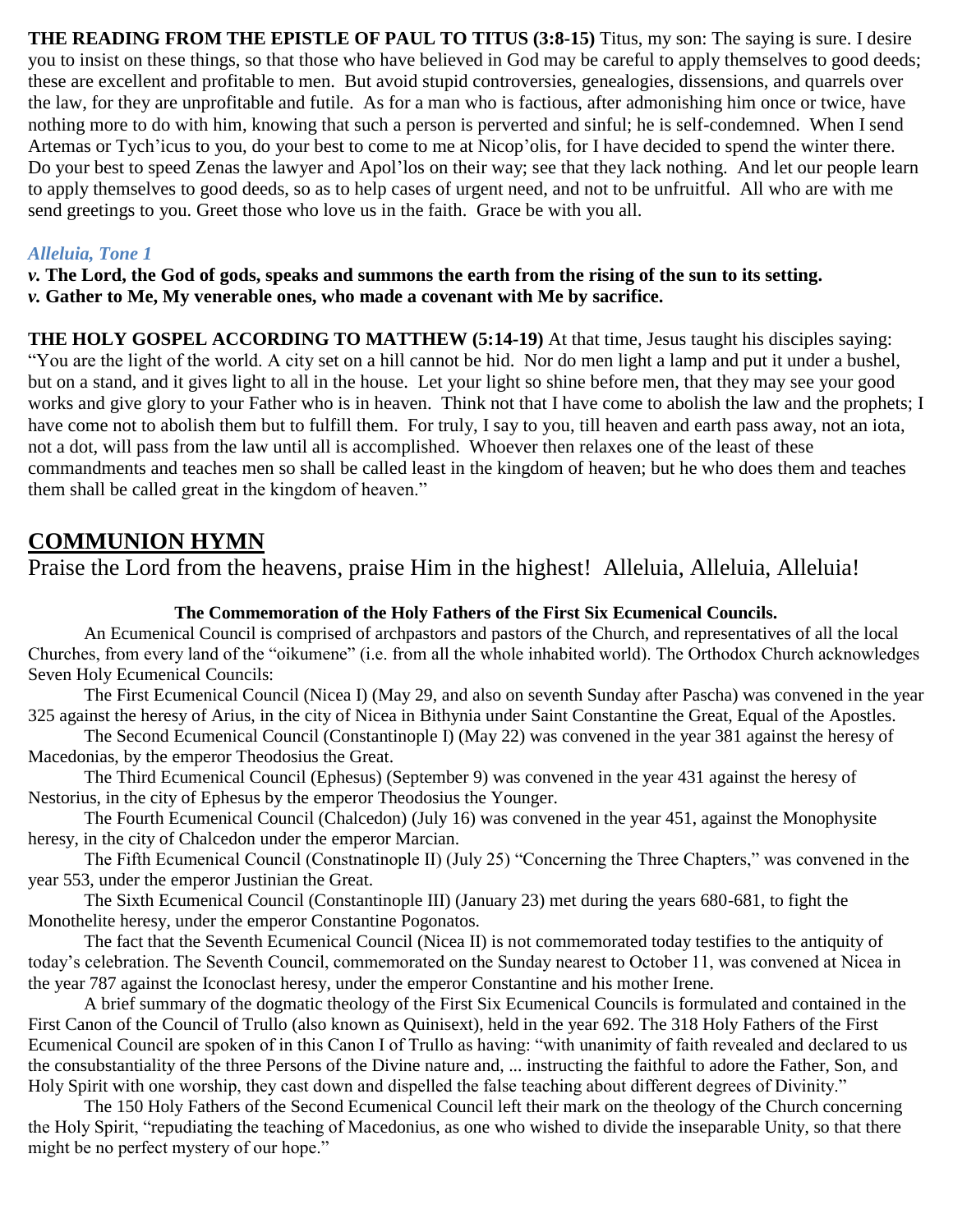**THE READING FROM THE EPISTLE OF PAUL TO TITUS (3:8-15)** Titus, my son: The saying is sure. I desire you to insist on these things, so that those who have believed in God may be careful to apply themselves to good deeds; these are excellent and profitable to men. But avoid stupid controversies, genealogies, dissensions, and quarrels over the law, for they are unprofitable and futile. As for a man who is factious, after admonishing him once or twice, have nothing more to do with him, knowing that such a person is perverted and sinful; he is self-condemned. When I send Artemas or Tych'icus to you, do your best to come to me at Nicop'olis, for I have decided to spend the winter there. Do your best to speed Zenas the lawyer and Apol'los on their way; see that they lack nothing. And let our people learn to apply themselves to good deeds, so as to help cases of urgent need, and not to be unfruitful. All who are with me send greetings to you. Greet those who love us in the faith. Grace be with you all.

#### *Alleluia, Tone 1*

*v.* **The Lord, the God of gods, speaks and summons the earth from the rising of the sun to its setting.** *v.* **Gather to Me, My venerable ones, who made a covenant with Me by sacrifice.**

**THE HOLY GOSPEL ACCORDING TO MATTHEW (5:14-19)** At that time, Jesus taught his disciples saying: "You are the light of the world. A city set on a hill cannot be hid. Nor do men light a lamp and put it under a bushel, but on a stand, and it gives light to all in the house. Let your light so shine before men, that they may see your good works and give glory to your Father who is in heaven. Think not that I have come to abolish the law and the prophets; I have come not to abolish them but to fulfill them. For truly, I say to you, till heaven and earth pass away, not an iota, not a dot, will pass from the law until all is accomplished. Whoever then relaxes one of the least of these commandments and teaches men so shall be called least in the kingdom of heaven; but he who does them and teaches them shall be called great in the kingdom of heaven."

## **COMMUNION HYMN**

Praise the Lord from the heavens, praise Him in the highest! Alleluia, Alleluia, Alleluia!

#### **The Commemoration of the Holy Fathers of the First Six Ecumenical Councils.**

An Ecumenical Council is comprised of archpastors and pastors of the Church, and representatives of all the local Churches, from every land of the "oikumene" (i.e. from all the whole inhabited world). The Orthodox Church acknowledges Seven Holy Ecumenical Councils:

The First Ecumenical Council (Nicea I) (May 29, and also on seventh Sunday after Pascha) was convened in the year 325 against the heresy of Arius, in the city of Nicea in Bithynia under Saint Constantine the Great, Equal of the Apostles.

The Second Ecumenical Council (Constantinople I) (May 22) was convened in the year 381 against the heresy of Macedonias, by the emperor Theodosius the Great.

The Third Ecumenical Council (Ephesus) (September 9) was convened in the year 431 against the heresy of Nestorius, in the city of Ephesus by the emperor Theodosius the Younger.

The Fourth Ecumenical Council (Chalcedon) (July 16) was convened in the year 451, against the Monophysite heresy, in the city of Chalcedon under the emperor Marcian.

The Fifth Ecumenical Council (Constnatinople II) (July 25) "Concerning the Three Chapters," was convened in the year 553, under the emperor Justinian the Great.

The Sixth Ecumenical Council (Constantinople III) (January 23) met during the years 680-681, to fight the Monothelite heresy, under the emperor Constantine Pogonatos.

The fact that the Seventh Ecumenical Council (Nicea II) is not commemorated today testifies to the antiquity of today's celebration. The Seventh Council, commemorated on the Sunday nearest to October 11, was convened at Nicea in the year 787 against the Iconoclast heresy, under the emperor Constantine and his mother Irene.

A brief summary of the dogmatic theology of the First Six Ecumenical Councils is formulated and contained in the First Canon of the Council of Trullo (also known as Quinisext), held in the year 692. The 318 Holy Fathers of the First Ecumenical Council are spoken of in this Canon I of Trullo as having: "with unanimity of faith revealed and declared to us the consubstantiality of the three Persons of the Divine nature and, ... instructing the faithful to adore the Father, Son, and Holy Spirit with one worship, they cast down and dispelled the false teaching about different degrees of Divinity."

The 150 Holy Fathers of the Second Ecumenical Council left their mark on the theology of the Church concerning the Holy Spirit, "repudiating the teaching of Macedonius, as one who wished to divide the inseparable Unity, so that there might be no perfect mystery of our hope."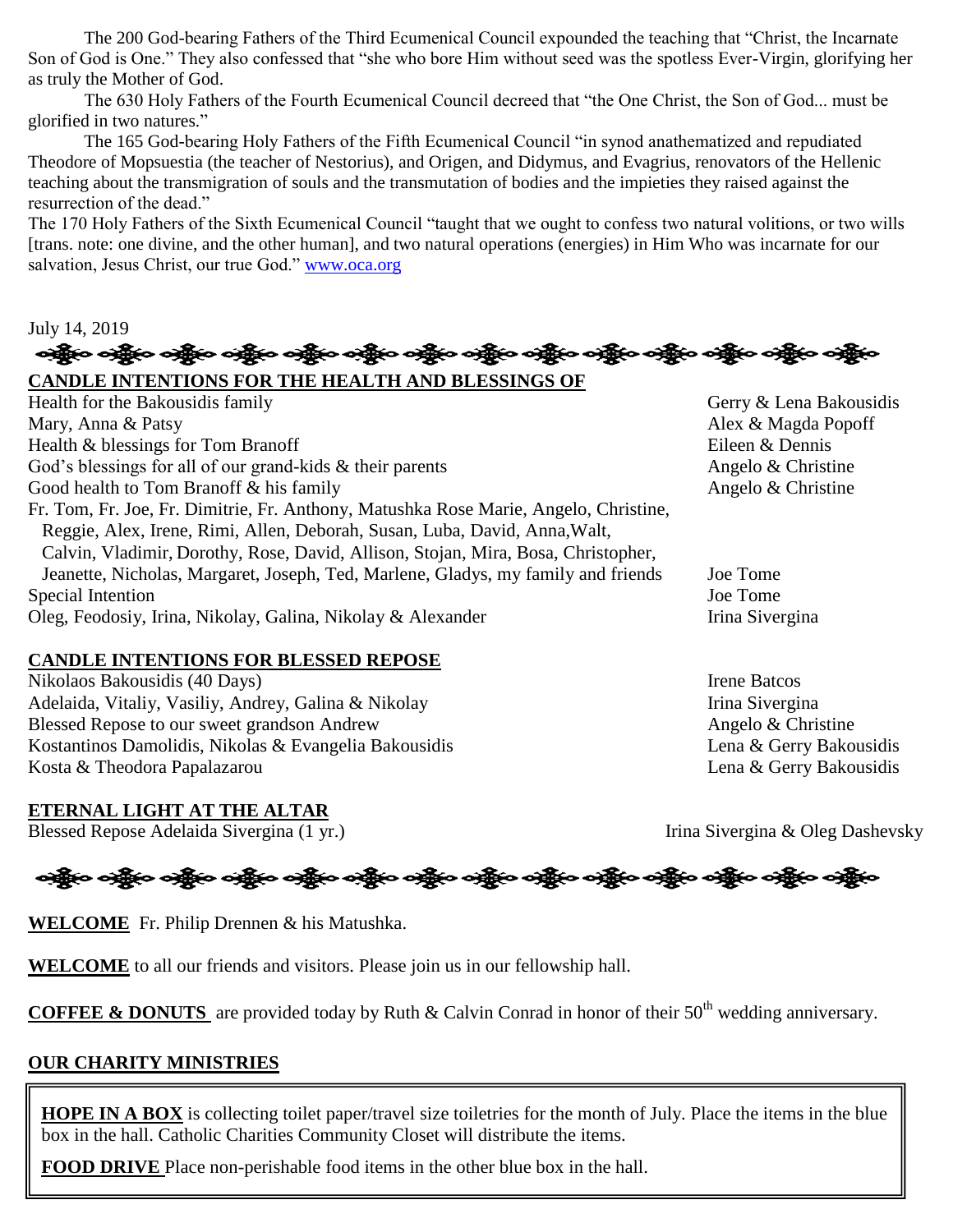The 200 God-bearing Fathers of the Third Ecumenical Council expounded the teaching that "Christ, the Incarnate Son of God is One." They also confessed that "she who bore Him without seed was the spotless Ever-Virgin, glorifying her as truly the Mother of God.

The 630 Holy Fathers of the Fourth Ecumenical Council decreed that "the One Christ, the Son of God... must be glorified in two natures."

The 165 God-bearing Holy Fathers of the Fifth Ecumenical Council "in synod anathematized and repudiated Theodore of Mopsuestia (the teacher of Nestorius), and Origen, and Didymus, and Evagrius, renovators of the Hellenic teaching about the transmigration of souls and the transmutation of bodies and the impieties they raised against the resurrection of the dead."

The 170 Holy Fathers of the Sixth Ecumenical Council "taught that we ought to confess two natural volitions, or two wills [trans. note: one divine, and the other human], and two natural operations (energies) in Him Who was incarnate for our salvation, Jesus Christ, our true God." [www.oca.org](http://www.oca.org/)

# July 14, 2019<br>কাক্কুত কাক্কুত কক্ষুত কক্ষুত কক্ষুত কক্ষুত কক্ষুত কক্ষুত কক্ষুত কক্ষুত কক্ষুত কক্ষুত কক্ষুত কক্ষুত কক্ষ

**CANDLE INTENTIONS FOR THE HEALTH AND BLESSINGS OF**  Health for the Bakousidis family Gerry & Lena Bakousidis Mary, Anna & Patsy Alex & Magda Popoff Health & blessings for Tom Branoff Eileen & Dennis God's blessings for all of our grand-kids  $\&$  their parents Angelo  $\&$  Christine Good health to Tom Branoff & his family Angelo & Christine Fr. Tom, Fr. Joe, Fr. Dimitrie, Fr. Anthony, Matushka Rose Marie, Angelo, Christine, Reggie, Alex, Irene, Rimi, Allen, Deborah, Susan, Luba, David, Anna,Walt, Calvin, Vladimir, Dorothy, Rose, David, Allison, Stojan, Mira, Bosa, Christopher, Jeanette, Nicholas, Margaret, Joseph, Ted, Marlene, Gladys, my family and friends Joe Tome Special Intention Joe Tome Oleg, Feodosiy, Irina, Nikolay, Galina, Nikolay & Alexander Irina Sivergina

#### **CANDLE INTENTIONS FOR BLESSED REPOSE**

Nikolaos Bakousidis (40 Days) **Irene Batcos** Irene Batcos Adelaida, Vitaliy, Vasiliy, Andrey, Galina & Nikolay Irina Sivergina Blessed Repose to our sweet grandson Andrew Angelo & Christine Kostantinos Damolidis, Nikolas & Evangelia Bakousidis Lena & Gerry Bakousidis Kosta & Theodora Papalazarou **Lena & Gerry Bakousidis** 

#### **ETERNAL LIGHT AT THE ALTAR**

Blessed Repose Adelaida Sivergina (1 yr.) Irina Sivergina & Oleg Dashevsky

# ခရွိက ခရွိက ခရွိက ခရွိက အိုင်း အိုင်း ခရွိက ခရွိက ခရွိက ခရွိက ခရွိက ခရွိက ခရွိက ခရွိက ခရွိက ခရွိက

**WELCOME** Fr. Philip Drennen & his Matushka.

**WELCOME** to all our friends and visitors. Please join us in our fellowship hall.

**COFFEE & DONUTS** are provided today by Ruth & Calvin Conrad in honor of their 50<sup>th</sup> wedding anniversary.

#### **OUR CHARITY MINISTRIES**

**HOPE IN A BOX** is collecting toilet paper/travel size toiletries for the month of July. Place the items in the blue box in the hall. Catholic Charities Community Closet will distribute the items.

**FOOD DRIVE** Place non-perishable food items in the other blue box in the hall.